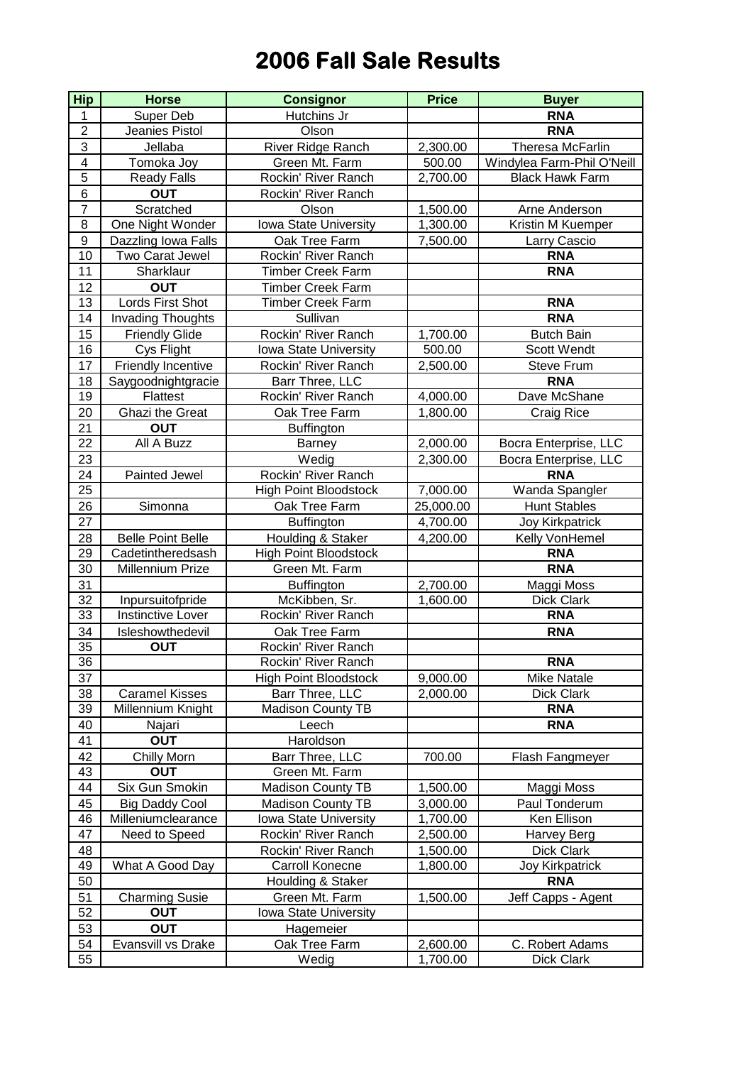## **2006 Fall Sale Results**

| <b>Hip</b>       | <b>Horse</b>              | <b>Consignor</b>             | <b>Price</b> | <b>Buyer</b>               |
|------------------|---------------------------|------------------------------|--------------|----------------------------|
| 1                | Super Deb                 | Hutchins Jr                  |              | <b>RNA</b>                 |
| $\overline{2}$   | Jeanies Pistol            | Olson                        |              | <b>RNA</b>                 |
| $\overline{3}$   | Jellaba                   | River Ridge Ranch            | 2,300.00     | Theresa McFarlin           |
| $\overline{4}$   | Tomoka Joy                | Green Mt. Farm               | 500.00       | Windylea Farm-Phil O'Neill |
| $\overline{5}$   | <b>Ready Falls</b>        | Rockin' River Ranch          | 2,700.00     | <b>Black Hawk Farm</b>     |
| 6                | <b>OUT</b>                | Rockin' River Ranch          |              |                            |
| $\overline{7}$   | Scratched                 | Olson                        | 1,500.00     | Arne Anderson              |
| $\overline{8}$   | One Night Wonder          | Iowa State University        | 1,300.00     | Kristin M Kuemper          |
| $\boldsymbol{9}$ | Dazzling Iowa Falls       | Oak Tree Farm                | 7,500.00     | Larry Cascio               |
| $\overline{10}$  | Two Carat Jewel           | Rockin' River Ranch          |              | <b>RNA</b>                 |
| 11               | Sharklaur                 | <b>Timber Creek Farm</b>     |              | <b>RNA</b>                 |
| 12               | <b>OUT</b>                | <b>Timber Creek Farm</b>     |              |                            |
| 13               | Lords First Shot          | <b>Timber Creek Farm</b>     |              | <b>RNA</b>                 |
| 14               | <b>Invading Thoughts</b>  | Sullivan                     |              | <b>RNA</b>                 |
| 15               | <b>Friendly Glide</b>     | Rockin' River Ranch          | 1,700.00     | <b>Butch Bain</b>          |
| 16               | Cys Flight                | Iowa State University        | 500.00       | Scott Wendt                |
| 17               | <b>Friendly Incentive</b> | Rockin' River Ranch          | 2,500.00     | <b>Steve Frum</b>          |
| 18               | Saygoodnightgracie        | Barr Three, LLC              |              | <b>RNA</b>                 |
| 19               | Flattest                  | Rockin' River Ranch          | 4,000.00     | Dave McShane               |
| 20               | Ghazi the Great           | Oak Tree Farm                | 1,800.00     | Craig Rice                 |
| 21               | <b>OUT</b>                | <b>Buffington</b>            |              |                            |
| 22               | All A Buzz                | <b>Barney</b>                | 2,000.00     | Bocra Enterprise, LLC      |
| 23               |                           | Wedig                        | 2,300.00     | Bocra Enterprise, LLC      |
| 24               | Painted Jewel             | Rockin' River Ranch          |              | <b>RNA</b>                 |
| 25               |                           | <b>High Point Bloodstock</b> | 7,000.00     | Wanda Spangler             |
| 26               | Simonna                   | Oak Tree Farm                | 25,000.00    | <b>Hunt Stables</b>        |
| 27               |                           | <b>Buffington</b>            | 4,700.00     | <b>Joy Kirkpatrick</b>     |
| 28               | <b>Belle Point Belle</b>  | Houlding & Staker            | 4,200.00     | Kelly VonHemel             |
| 29               | Cadetintheredsash         | <b>High Point Bloodstock</b> |              | <b>RNA</b>                 |
| 30               | Millennium Prize          | Green Mt. Farm               |              | <b>RNA</b>                 |
| 31               |                           | <b>Buffington</b>            | 2,700.00     | Maggi Moss                 |
| 32               | Inpursuitofpride          | McKibben, Sr.                | 1,600.00     | Dick Clark                 |
| 33               | <b>Instinctive Lover</b>  | Rockin' River Ranch          |              | <b>RNA</b>                 |
| 34               | Isleshowthedevil          | Oak Tree Farm                |              | <b>RNA</b>                 |
| 35               | <b>OUT</b>                | Rockin' River Ranch          |              |                            |
| $\overline{36}$  |                           | Rockin' River Ranch          |              | <b>RNA</b>                 |
| 37               |                           | <b>High Point Bloodstock</b> | 9,000.00     | <b>Mike Natale</b>         |
| 38               | <b>Caramel Kisses</b>     | Barr Three, LLC              | 2,000.00     | Dick Clark                 |
| 39               | Millennium Knight         | Madison County TB            |              | <b>RNA</b>                 |
| 40               | Najari                    | Leech                        |              | <b>RNA</b>                 |
| 41               | <b>OUT</b>                | Haroldson                    |              |                            |
| 42               | Chilly Morn               | Barr Three, LLC              | 700.00       | Flash Fangmeyer            |
| 43               | <b>OUT</b>                | Green Mt. Farm               |              |                            |
| 44               | Six Gun Smokin            | <b>Madison County TB</b>     | 1,500.00     | Maggi Moss                 |
| 45               | <b>Big Daddy Cool</b>     | <b>Madison County TB</b>     | 3,000.00     | Paul Tonderum              |
| 46               | Milleniumclearance        | <b>Iowa State University</b> | 1,700.00     | Ken Ellison                |
| 47               | Need to Speed             | Rockin' River Ranch          | 2,500.00     | Harvey Berg                |
| 48               |                           | Rockin' River Ranch          | 1,500.00     | Dick Clark                 |
| 49               | What A Good Day           | Carroll Konecne              | 1,800.00     | <b>Joy Kirkpatrick</b>     |
| 50               |                           | Houlding & Staker            |              | <b>RNA</b>                 |
| 51               | <b>Charming Susie</b>     | Green Mt. Farm               | 1,500.00     | Jeff Capps - Agent         |
| 52               | <b>OUT</b>                | Iowa State University        |              |                            |
| 53               | <b>OUT</b>                | Hagemeier                    |              |                            |
| 54               | Evansvill vs Drake        | Oak Tree Farm                | 2,600.00     | C. Robert Adams            |
| 55               |                           | Wedig                        | 1,700.00     | Dick Clark                 |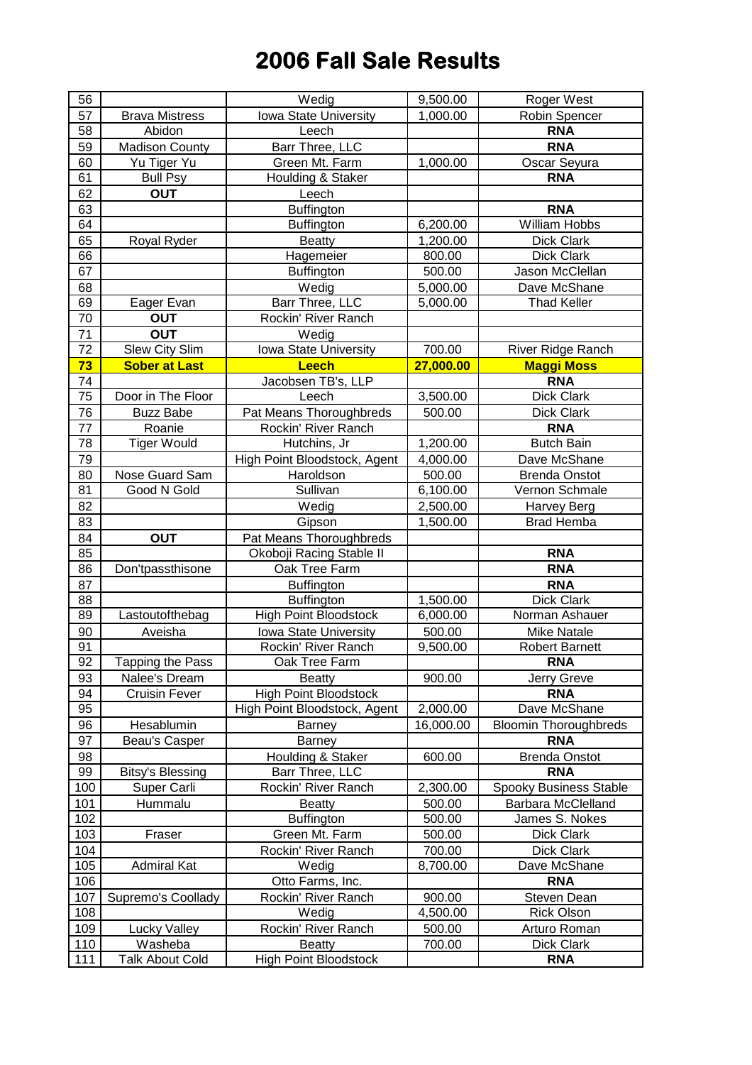## **2006 Fall Sale Results**

| 56  |                         | Wedig                        | 9,500.00  | <b>Roger West</b>            |
|-----|-------------------------|------------------------------|-----------|------------------------------|
| 57  | <b>Brava Mistress</b>   | Iowa State University        | 1,000.00  | Robin Spencer                |
| 58  | Abidon                  | Leech                        |           | <b>RNA</b>                   |
| 59  | <b>Madison County</b>   | Barr Three, LLC              |           | <b>RNA</b>                   |
| 60  | Yu Tiger Yu             | Green Mt. Farm               | 1,000.00  | Oscar Seyura                 |
| 61  | <b>Bull Psy</b>         | Houlding & Staker            |           | <b>RNA</b>                   |
| 62  | <b>OUT</b>              | Leech                        |           |                              |
| 63  |                         | <b>Buffington</b>            |           | <b>RNA</b>                   |
| 64  |                         | <b>Buffington</b>            | 6,200.00  | <b>William Hobbs</b>         |
| 65  | Royal Ryder             | <b>Beatty</b>                | 1,200.00  | Dick Clark                   |
| 66  |                         | Hagemeier                    | 800.00    | <b>Dick Clark</b>            |
| 67  |                         | <b>Buffington</b>            | 500.00    | Jason McClellan              |
| 68  |                         | Wedig                        | 5,000.00  | Dave McShane                 |
| 69  | Eager Evan              | Barr Three, LLC              | 5,000.00  | <b>Thad Keller</b>           |
| 70  | <b>OUT</b>              | Rockin' River Ranch          |           |                              |
| 71  | <b>OUT</b>              | Wedig                        |           |                              |
| 72  | Slew City Slim          | Iowa State University        | 700.00    | River Ridge Ranch            |
| 73  | <b>Sober at Last</b>    | <b>Leech</b>                 | 27,000.00 | <b>Maggi Moss</b>            |
| 74  |                         | Jacobsen TB's, LLP           |           | <b>RNA</b>                   |
| 75  | Door in The Floor       | Leech                        | 3,500.00  | <b>Dick Clark</b>            |
| 76  | <b>Buzz Babe</b>        | Pat Means Thoroughbreds      | 500.00    | <b>Dick Clark</b>            |
| 77  | Roanie                  | Rockin' River Ranch          |           | <b>RNA</b>                   |
| 78  | <b>Tiger Would</b>      | Hutchins, Jr                 | 1,200.00  | <b>Butch Bain</b>            |
| 79  |                         | High Point Bloodstock, Agent | 4,000.00  | Dave McShane                 |
| 80  | Nose Guard Sam          | Haroldson                    | 500.00    | <b>Brenda Onstot</b>         |
| 81  | Good N Gold             | Sullivan                     | 6,100.00  | Vernon Schmale               |
| 82  |                         | Wedig                        | 2,500.00  | <b>Harvey Berg</b>           |
| 83  |                         | Gipson                       | 1,500.00  | <b>Brad Hemba</b>            |
| 84  | <b>OUT</b>              | Pat Means Thoroughbreds      |           |                              |
| 85  |                         | Okoboji Racing Stable II     |           | <b>RNA</b>                   |
| 86  | Don'tpassthisone        | Oak Tree Farm                |           | <b>RNA</b>                   |
| 87  |                         | <b>Buffington</b>            |           | <b>RNA</b>                   |
| 88  |                         | <b>Buffington</b>            | 1,500.00  | Dick Clark                   |
| 89  | Lastoutofthebag         | <b>High Point Bloodstock</b> | 6,000.00  | Norman Ashauer               |
| 90  | Aveisha                 | Iowa State University        | 500.00    | <b>Mike Natale</b>           |
| 91  |                         | Rockin' River Ranch          | 9,500.00  | <b>Robert Barnett</b>        |
| 92  | <b>Tapping the Pass</b> | Oak Tree Farm                |           | <b>RNA</b>                   |
| 93  | Nalee's Dream           | <b>Beatty</b>                | 900.00    | Jerry Greve                  |
| 94  | <b>Cruisin Fever</b>    | <b>High Point Bloodstock</b> |           | <b>RNA</b>                   |
| 95  |                         | High Point Bloodstock, Agent | 2,000.00  | Dave McShane                 |
| 96  | Hesablumin              | Barney                       | 16,000.00 | <b>Bloomin Thoroughbreds</b> |
| 97  | Beau's Casper           | <b>Barney</b>                |           | <b>RNA</b>                   |
| 98  |                         | Houlding & Staker            | 600.00    | <b>Brenda Onstot</b>         |
| 99  | <b>Bitsy's Blessing</b> | Barr Three, LLC              |           | <b>RNA</b>                   |
| 100 | Super Carli             | Rockin' River Ranch          | 2,300.00  | Spooky Business Stable       |
| 101 | Hummalu                 | <b>Beatty</b>                | 500.00    | Barbara McClelland           |
| 102 |                         | <b>Buffington</b>            | 500.00    | James S. Nokes               |
| 103 | Fraser                  | Green Mt. Farm               | 500.00    | Dick Clark                   |
| 104 |                         | Rockin' River Ranch          | 700.00    | Dick Clark                   |
| 105 | <b>Admiral Kat</b>      | Wedig                        | 8,700.00  | Dave McShane                 |
| 106 |                         | Otto Farms, Inc.             |           | <b>RNA</b>                   |
| 107 | Supremo's Coollady      | Rockin' River Ranch          | 900.00    | Steven Dean                  |
| 108 |                         | Wedig                        | 4,500.00  | <b>Rick Olson</b>            |
| 109 | <b>Lucky Valley</b>     | Rockin' River Ranch          | 500.00    | Arturo Roman                 |
| 110 | Washeba                 | <b>Beatty</b>                | 700.00    | Dick Clark                   |
| 111 | <b>Talk About Cold</b>  | <b>High Point Bloodstock</b> |           | <b>RNA</b>                   |
|     |                         |                              |           |                              |